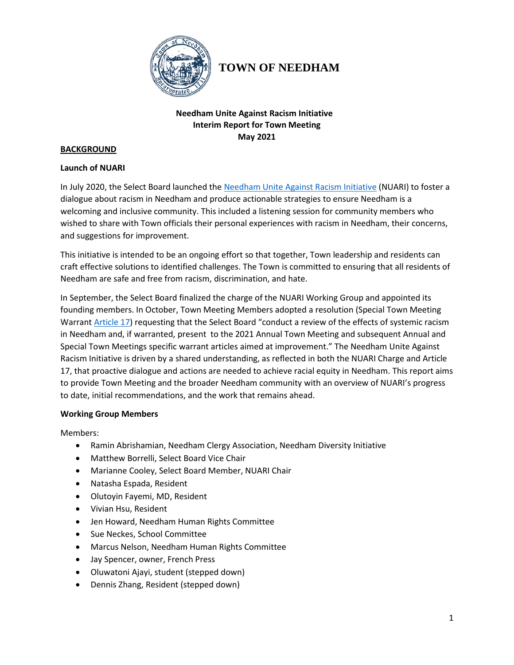

# **TOWN OF NEEDHAM**

## **Needham Unite Against Racism Initiative Interim Report for Town Meeting May 2021**

#### **BACKGROUND**

#### **Launch of NUARI**

In July 2020, the Select Board launched th[e Needham Unite Against Racism Initiative](https://www.needhamma.gov/4942/NUARI---Needham-Unite-Against-Racism-Ini) (NUARI) to foster a dialogue about racism in Needham and produce actionable strategies to ensure Needham is a welcoming and inclusive community. This included a listening session for community members who wished to share with Town officials their personal experiences with racism in Needham, their concerns, and suggestions for improvement.

This initiative is intended to be an ongoing effort so that together, Town leadership and residents can craft effective solutions to identified challenges. The Town is committed to ensuring that all residents of Needham are safe and free from racism, discrimination, and hate.

In September, the Select Board finalized the charge of the NUARI Working Group and appointed its founding members. In October, Town Meeting Members adopted a resolution [\(Special Town Meeting](http://www.needhamma.gov/DocumentCenter/View/22095/October-2020-STM-Warrant?bidId=)  [Warrant Article 17\)](http://www.needhamma.gov/DocumentCenter/View/22095/October-2020-STM-Warrant?bidId=) requesting that the Select Board "conduct a review of the effects of systemic racism in Needham and, if warranted, present to the 2021 Annual Town Meeting and subsequent Annual and Special Town Meetings specific warrant articles aimed at improvement." The Needham Unite Against Racism Initiative is driven by a shared understanding, as reflected in both the NUARI Charge and Article 17, that proactive dialogue and actions are needed to achieve racial equity in Needham. This report aims to provide Town Meeting and the broader Needham community with an overview of NUARI's progress to date, initial recommendations, and the work that remains ahead.

## **Working Group Members**

Members:

- Ramin Abrishamian, Needham Clergy Association, Needham Diversity Initiative
- Matthew Borrelli, Select Board Vice Chair
- Marianne Cooley, Select Board Member, NUARI Chair
- Natasha Espada, Resident
- Olutoyin Fayemi, MD, Resident
- Vivian Hsu, Resident
- Jen Howard, Needham Human Rights Committee
- Sue Neckes, School Committee
- Marcus Nelson, Needham Human Rights Committee
- Jay Spencer, owner, French Press
- Oluwatoni Ajayi, student (stepped down)
- Dennis Zhang, Resident (stepped down)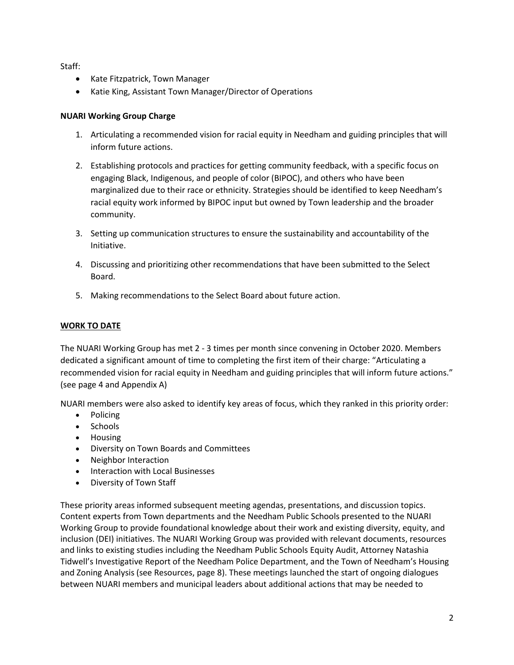Staff:

- Kate Fitzpatrick, Town Manager
- Katie King, Assistant Town Manager/Director of Operations

## **NUARI Working Group Charge**

- 1. Articulating a recommended vision for racial equity in Needham and guiding principles that will inform future actions.
- 2. Establishing protocols and practices for getting community feedback, with a specific focus on engaging Black, Indigenous, and people of color (BIPOC), and others who have been marginalized due to their race or ethnicity. Strategies should be identified to keep Needham's racial equity work informed by BIPOC input but owned by Town leadership and the broader community.
- 3. Setting up communication structures to ensure the sustainability and accountability of the Initiative.
- 4. Discussing and prioritizing other recommendations that have been submitted to the Select Board.
- 5. Making recommendations to the Select Board about future action.

# **WORK TO DATE**

The NUARI Working Group has met 2 - 3 times per month since convening in October 2020. Members dedicated a significant amount of time to completing the first item of their charge: "Articulating a recommended vision for racial equity in Needham and guiding principles that will inform future actions." (see page 4 and Appendix A)

NUARI members were also asked to identify key areas of focus, which they ranked in this priority order:

- Policing
- Schools
- Housing
- Diversity on Town Boards and Committees
- Neighbor Interaction
- Interaction with Local Businesses
- Diversity of Town Staff

These priority areas informed subsequent meeting agendas, presentations, and discussion topics. Content experts from Town departments and the Needham Public Schools presented to the NUARI Working Group to provide foundational knowledge about their work and existing diversity, equity, and inclusion (DEI) initiatives. The NUARI Working Group was provided with relevant documents, resources and links to existing studies including the Needham Public Schools Equity Audit, Attorney Natashia Tidwell's Investigative Report of the Needham Police Department, and the Town of Needham's Housing and Zoning Analysis (see Resources, page 8). These meetings launched the start of ongoing dialogues between NUARI members and municipal leaders about additional actions that may be needed to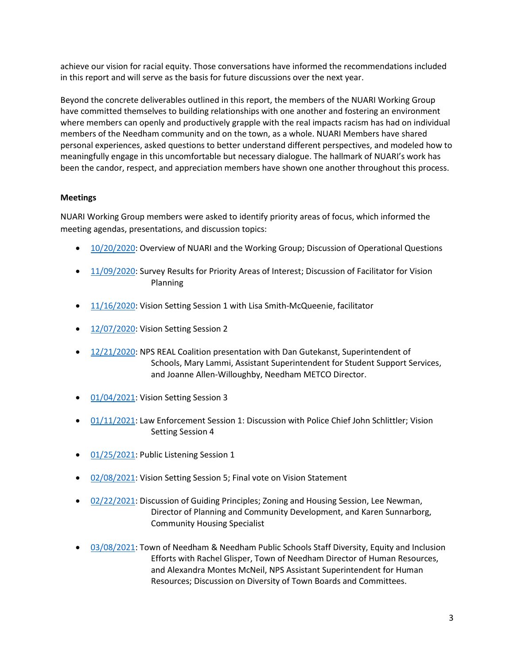achieve our vision for racial equity. Those conversations have informed the recommendations included in this report and will serve as the basis for future discussions over the next year.

Beyond the concrete deliverables outlined in this report, the members of the NUARI Working Group have committed themselves to building relationships with one another and fostering an environment where members can openly and productively grapple with the real impacts racism has had on individual members of the Needham community and on the town, as a whole. NUARI Members have shared personal experiences, asked questions to better understand different perspectives, and modeled how to meaningfully engage in this uncomfortable but necessary dialogue. The hallmark of NUARI's work has been the candor, respect, and appreciation members have shown one another throughout this process.

#### **Meetings**

NUARI Working Group members were asked to identify priority areas of focus, which informed the meeting agendas, presentations, and discussion topics:

- [10/20/2020:](https://youtu.be/22ZA8xJnASA) Overview of NUARI and the Working Group; Discussion of Operational Questions
- [11/09/2020:](https://youtu.be/W9CcYtZCnbg) Survey Results for Priority Areas of Interest; Discussion of Facilitator for Vision Planning
- [11/16/2020:](https://youtu.be/8MMdApGfUio) Vision Setting Session 1 with Lisa Smith-McQueenie, facilitator
- [12/07/2020:](https://youtu.be/dbZTVZYOOgs) Vision Setting Session 2
- [12/21/2020:](https://youtu.be/AJpf21Vl7W8) NPS REAL Coalition presentation with Dan Gutekanst, Superintendent of Schools, Mary Lammi, Assistant Superintendent for Student Support Services, and Joanne Allen-Willoughby, Needham METCO Director.
- [01/04/2021:](https://youtu.be/_4DQzKi9n-o) Vision Setting Session 3
- [01/11/2021:](https://youtu.be/0qD0xLv-1fY) Law Enforcement Session 1: Discussion with Police Chief John Schlittler; Vision Setting Session 4
- [01/25/2021:](https://youtu.be/EvcLj8xpzR4) Public Listening Session 1
- [02/08/2021:](https://youtu.be/V2alTCReQZc) Vision Setting Session 5; Final vote on Vision Statement
- [02/22/2021:](https://youtu.be/tq22JCmlDJw) Discussion of Guiding Principles; Zoning and Housing Session, Lee Newman, Director of Planning and Community Development, and Karen Sunnarborg, Community Housing Specialist
- [03/08/2021:](https://youtu.be/ZxgrOjxPpvM) Town of Needham & Needham Public Schools Staff Diversity, Equity and Inclusion Efforts with Rachel Glisper, Town of Needham Director of Human Resources, and Alexandra Montes McNeil, NPS Assistant Superintendent for Human Resources; Discussion on Diversity of Town Boards and Committees.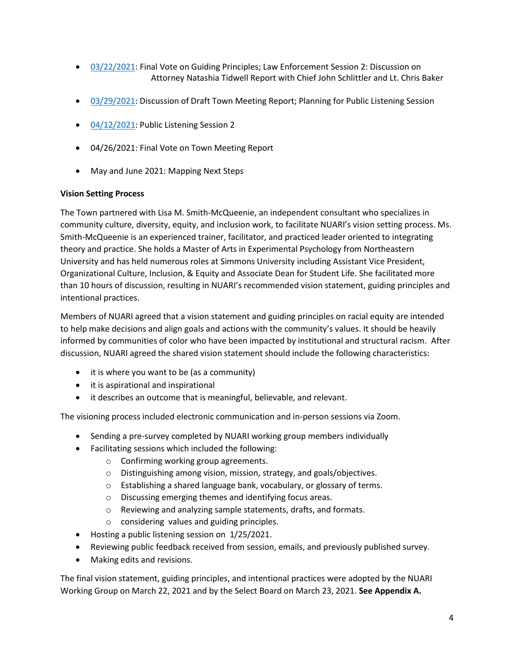- [03/22/2021:](https://youtu.be/DtQKjtLcSis) Final Vote on Guiding Principles; Law Enforcement Session 2: Discussion on Attorney Natashia Tidwell Report with Chief John Schlittler and Lt. Chris Baker
- [03/29/2021:](https://www.youtube.com/watch?v=Lw-trb04WOg&list=PL3PRZZjHC3yE0eZ-rrW5RDdybU0e1R91L&index=2) Discussion of Draft Town Meeting Report; Planning for Public Listening Session
- [04/12/2021:](https://www.youtube.com/watch?v=nWKJF7IdJV4&list=PL3PRZZjHC3yE0eZ-rrW5RDdybU0e1R91L&index=2) Public Listening Session 2
- 04/26/2021: Final Vote on Town Meeting Report
- May and June 2021: Mapping Next Steps

#### **Vision Setting Process**

The Town partnered with Lisa M. Smith-McQueenie, an independent consultant who specializes in community culture, diversity, equity, and inclusion work, to facilitate NUARI's vision setting process. Ms. Smith-McQueenie is an experienced trainer, facilitator, and practiced leader oriented to integrating theory and practice. She holds a Master of Arts in Experimental Psychology from Northeastern University and has held numerous roles at Simmons University including Assistant Vice President, Organizational Culture, Inclusion, & Equity and Associate Dean for Student Life. She facilitated more than 10 hours of discussion, resulting in NUARI's recommended vision statement, guiding principles and intentional practices.

Members of NUARI agreed that a vision statement and guiding principles on racial equity are intended to help make decisions and align goals and actions with the community's values. It should be heavily informed by communities of color who have been impacted by institutional and structural racism. After discussion, NUARI agreed the shared vision statement should include the following characteristics:

- it is where you want to be (as a community)
- it is aspirational and inspirational
- it describes an outcome that is meaningful, believable, and relevant.

The visioning process included electronic communication and in-person sessions via Zoom.

- Sending a pre-survey completed by NUARI working group members individually
- Facilitating sessions which included the following:
	- o Confirming working group agreements.
	- o Distinguishing among vision, mission, strategy, and goals/objectives.
	- o Establishing a shared language bank, vocabulary, or glossary of terms.
	- o Discussing emerging themes and identifying focus areas.
	- o Reviewing and analyzing sample statements, drafts, and formats.
	- o considering values and guiding principles.
- Hosting a public listening session on 1/25/2021.
- Reviewing public feedback received from session, emails, and previously published survey.
- Making edits and revisions.

The final vision statement, guiding principles, and intentional practices were adopted by the NUARI Working Group on March 22, 2021 and by the Select Board on March 23, 2021. **See Appendix A.**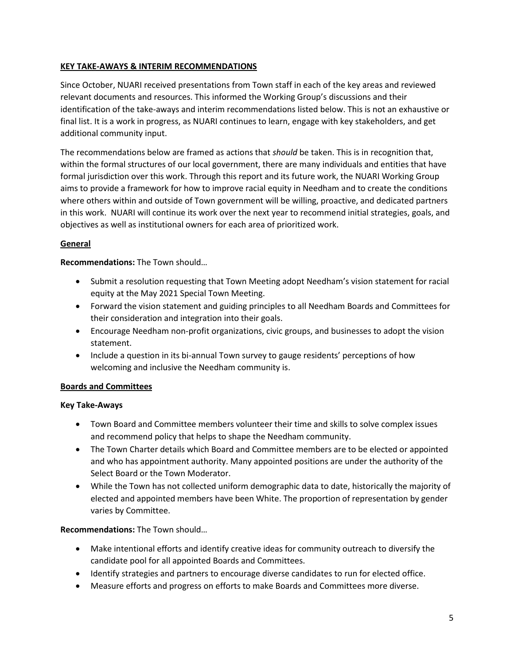# **KEY TAKE-AWAYS & INTERIM RECOMMENDATIONS**

Since October, NUARI received presentations from Town staff in each of the key areas and reviewed relevant documents and resources. This informed the Working Group's discussions and their identification of the take-aways and interim recommendations listed below. This is not an exhaustive or final list. It is a work in progress, as NUARI continues to learn, engage with key stakeholders, and get additional community input.

The recommendations below are framed as actions that *should* be taken. This is in recognition that, within the formal structures of our local government, there are many individuals and entities that have formal jurisdiction over this work. Through this report and its future work, the NUARI Working Group aims to provide a framework for how to improve racial equity in Needham and to create the conditions where others within and outside of Town government will be willing, proactive, and dedicated partners in this work. NUARI will continue its work over the next year to recommend initial strategies, goals, and objectives as well as institutional owners for each area of prioritized work.

# **General**

**Recommendations:** The Town should…

- Submit a resolution requesting that Town Meeting adopt Needham's vision statement for racial equity at the May 2021 Special Town Meeting.
- Forward the vision statement and guiding principles to all Needham Boards and Committees for their consideration and integration into their goals.
- Encourage Needham non-profit organizations, civic groups, and businesses to adopt the vision statement.
- Include a question in its bi-annual Town survey to gauge residents' perceptions of how welcoming and inclusive the Needham community is.

## **Boards and Committees**

## **Key Take-Aways**

- Town Board and Committee members volunteer their time and skills to solve complex issues and recommend policy that helps to shape the Needham community.
- The Town Charter details which Board and Committee members are to be elected or appointed and who has appointment authority. Many appointed positions are under the authority of the Select Board or the Town Moderator.
- While the Town has not collected uniform demographic data to date, historically the majority of elected and appointed members have been White. The proportion of representation by gender varies by Committee.

# **Recommendations:** The Town should…

- Make intentional efforts and identify creative ideas for community outreach to diversify the candidate pool for all appointed Boards and Committees.
- Identify strategies and partners to encourage diverse candidates to run for elected office.
- Measure efforts and progress on efforts to make Boards and Committees more diverse.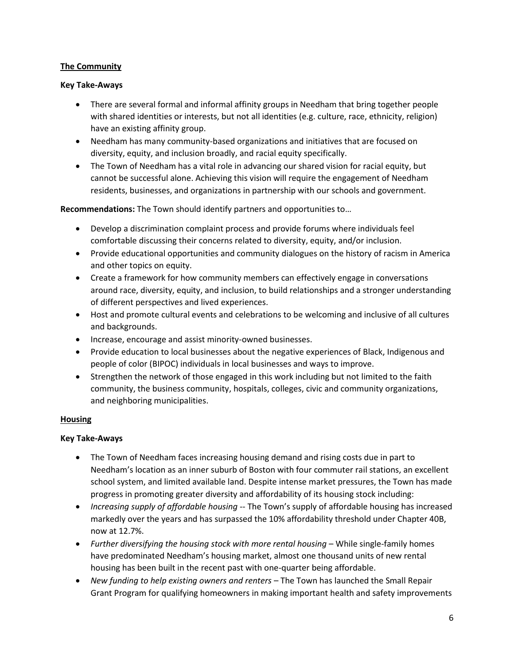#### **The Community**

#### **Key Take-Aways**

- There are several formal and informal affinity groups in Needham that bring together people with shared identities or interests, but not all identities (e.g. culture, race, ethnicity, religion) have an existing affinity group.
- Needham has many community-based organizations and initiatives that are focused on diversity, equity, and inclusion broadly, and racial equity specifically.
- The Town of Needham has a vital role in advancing our shared vision for racial equity, but cannot be successful alone. Achieving this vision will require the engagement of Needham residents, businesses, and organizations in partnership with our schools and government.

**Recommendations:** The Town should identify partners and opportunities to…

- Develop a discrimination complaint process and provide forums where individuals feel comfortable discussing their concerns related to diversity, equity, and/or inclusion.
- Provide educational opportunities and community dialogues on the history of racism in America and other topics on equity.
- Create a framework for how community members can effectively engage in conversations around race, diversity, equity, and inclusion, to build relationships and a stronger understanding of different perspectives and lived experiences.
- Host and promote cultural events and celebrations to be welcoming and inclusive of all cultures and backgrounds.
- Increase, encourage and assist minority-owned businesses.
- Provide education to local businesses about the negative experiences of Black, Indigenous and people of color (BIPOC) individuals in local businesses and ways to improve.
- Strengthen the network of those engaged in this work including but not limited to the faith community, the business community, hospitals, colleges, civic and community organizations, and neighboring municipalities.

## **Housing**

## **Key Take-Aways**

- The Town of Needham faces increasing housing demand and rising costs due in part to Needham's location as an inner suburb of Boston with four commuter rail stations, an excellent school system, and limited available land. Despite intense market pressures, the Town has made progress in promoting greater diversity and affordability of its housing stock including:
- *Increasing supply of affordable housing* -- The Town's supply of affordable housing has increased markedly over the years and has surpassed the 10% affordability threshold under Chapter 40B, now at 12.7%.
- *Further diversifying the housing stock with more rental housing* While single-family homes have predominated Needham's housing market, almost one thousand units of new rental housing has been built in the recent past with one-quarter being affordable.
- New funding to help existing owners and renters The Town has launched the Small Repair Grant Program for qualifying homeowners in making important health and safety improvements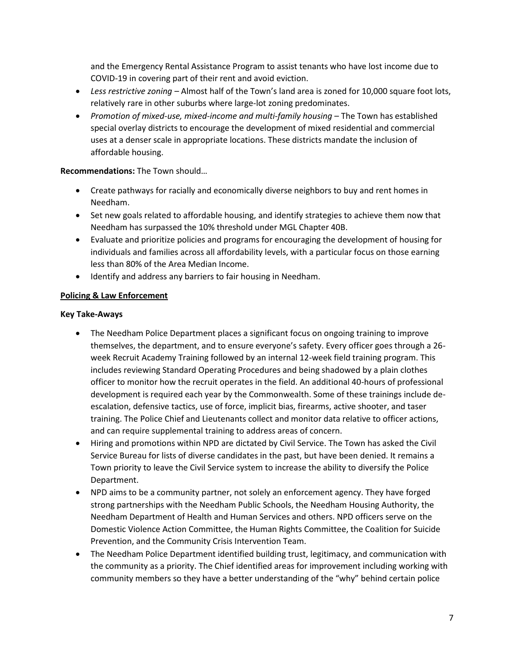and the Emergency Rental Assistance Program to assist tenants who have lost income due to COVID-19 in covering part of their rent and avoid eviction.

- *Less restrictive zoning –* Almost half of the Town's land area is zoned for 10,000 square foot lots, relatively rare in other suburbs where large-lot zoning predominates.
- *Promotion of mixed-use, mixed-income and multi-family housing* The Town has established special overlay districts to encourage the development of mixed residential and commercial uses at a denser scale in appropriate locations. These districts mandate the inclusion of affordable housing.

## **Recommendations:** The Town should…

- Create pathways for racially and economically diverse neighbors to buy and rent homes in Needham.
- Set new goals related to affordable housing, and identify strategies to achieve them now that Needham has surpassed the 10% threshold under MGL Chapter 40B.
- Evaluate and prioritize policies and programs for encouraging the development of housing for individuals and families across all affordability levels, with a particular focus on those earning less than 80% of the Area Median Income.
- Identify and address any barriers to fair housing in Needham.

## **Policing & Law Enforcement**

## **Key Take-Aways**

- The Needham Police Department places a significant focus on ongoing training to improve themselves, the department, and to ensure everyone's safety. Every officer goes through a 26 week Recruit Academy Training followed by an internal 12-week field training program. This includes reviewing Standard Operating Procedures and being shadowed by a plain clothes officer to monitor how the recruit operates in the field. An additional 40-hours of professional development is required each year by the Commonwealth. Some of these trainings include deescalation, defensive tactics, use of force, implicit bias, firearms, active shooter, and taser training. The Police Chief and Lieutenants collect and monitor data relative to officer actions, and can require supplemental training to address areas of concern.
- Hiring and promotions within NPD are dictated by Civil Service. The Town has asked the Civil Service Bureau for lists of diverse candidates in the past, but have been denied. It remains a Town priority to leave the Civil Service system to increase the ability to diversify the Police Department.
- NPD aims to be a community partner, not solely an enforcement agency. They have forged strong partnerships with the Needham Public Schools, the Needham Housing Authority, the Needham Department of Health and Human Services and others. NPD officers serve on the Domestic Violence Action Committee, the Human Rights Committee, the Coalition for Suicide Prevention, and the Community Crisis Intervention Team.
- The Needham Police Department identified building trust, legitimacy, and communication with the community as a priority. The Chief identified areas for improvement including working with community members so they have a better understanding of the "why" behind certain police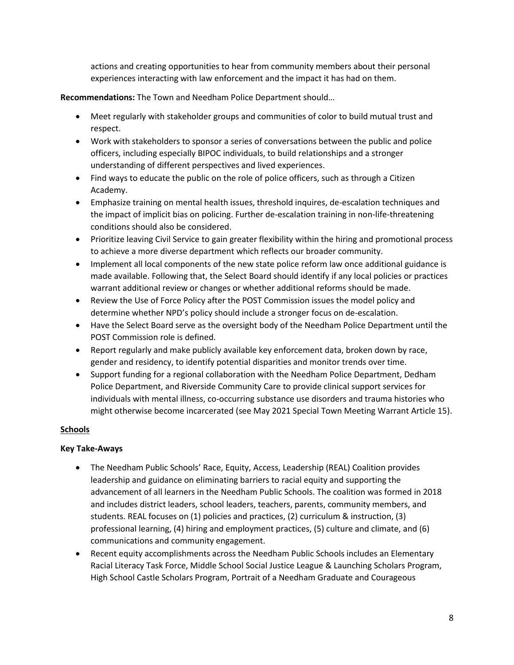actions and creating opportunities to hear from community members about their personal experiences interacting with law enforcement and the impact it has had on them.

**Recommendations:** The Town and Needham Police Department should…

- Meet regularly with stakeholder groups and communities of color to build mutual trust and respect.
- Work with stakeholders to sponsor a series of conversations between the public and police officers, including especially BIPOC individuals, to build relationships and a stronger understanding of different perspectives and lived experiences.
- Find ways to educate the public on the role of police officers, such as through a Citizen Academy.
- Emphasize training on mental health issues, threshold inquires, de-escalation techniques and the impact of implicit bias on policing. Further de-escalation training in non-life-threatening conditions should also be considered.
- Prioritize leaving Civil Service to gain greater flexibility within the hiring and promotional process to achieve a more diverse department which reflects our broader community.
- Implement all local components of the new state police reform law once additional guidance is made available. Following that, the Select Board should identify if any local policies or practices warrant additional review or changes or whether additional reforms should be made.
- Review the Use of Force Policy after the POST Commission issues the model policy and determine whether NPD's policy should include a stronger focus on de-escalation.
- Have the Select Board serve as the oversight body of the Needham Police Department until the POST Commission role is defined.
- Report regularly and make publicly available key enforcement data, broken down by race, gender and residency, to identify potential disparities and monitor trends over time.
- Support funding for a regional collaboration with the Needham Police Department, Dedham Police Department, and Riverside Community Care to provide clinical support services for individuals with mental illness, co-occurring substance use disorders and trauma histories who might otherwise become incarcerated (see May 2021 Special Town Meeting Warrant Article 15).

# **Schools**

## **Key Take-Aways**

- The Needham Public Schools' Race, Equity, Access, Leadership (REAL) Coalition provides leadership and guidance on eliminating barriers to racial equity and supporting the advancement of all learners in the Needham Public Schools. The coalition was formed in 2018 and includes district leaders, school leaders, teachers, parents, community members, and students. REAL focuses on (1) policies and practices, (2) curriculum & instruction, (3) professional learning, (4) hiring and employment practices, (5) culture and climate, and (6) communications and community engagement.
- Recent equity accomplishments across the Needham Public Schools includes an Elementary Racial Literacy Task Force, Middle School Social Justice League & Launching Scholars Program, High School Castle Scholars Program, Portrait of a Needham Graduate and Courageous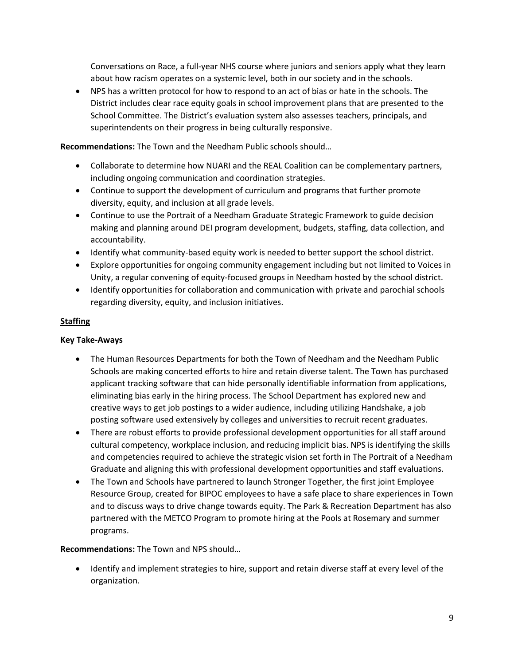Conversations on Race, a full-year NHS course where juniors and seniors apply what they learn about how racism operates on a systemic level, both in our society and in the schools.

• NPS has a written protocol for how to respond to an act of bias or hate in the schools. The District includes clear race equity goals in school improvement plans that are presented to the School Committee. The District's evaluation system also assesses teachers, principals, and superintendents on their progress in being culturally responsive.

**Recommendations:** The Town and the Needham Public schools should…

- Collaborate to determine how NUARI and the REAL Coalition can be complementary partners, including ongoing communication and coordination strategies.
- Continue to support the development of curriculum and programs that further promote diversity, equity, and inclusion at all grade levels.
- Continue to use the Portrait of a Needham Graduate Strategic Framework to guide decision making and planning around DEI program development, budgets, staffing, data collection, and accountability.
- Identify what community-based equity work is needed to better support the school district.
- Explore opportunities for ongoing community engagement including but not limited to Voices in Unity, a regular convening of equity-focused groups in Needham hosted by the school district.
- Identify opportunities for collaboration and communication with private and parochial schools regarding diversity, equity, and inclusion initiatives.

# **Staffing**

## **Key Take-Aways**

- The Human Resources Departments for both the Town of Needham and the Needham Public Schools are making concerted efforts to hire and retain diverse talent. The Town has purchased applicant tracking software that can hide personally identifiable information from applications, eliminating bias early in the hiring process. The School Department has explored new and creative ways to get job postings to a wider audience, including utilizing Handshake, a job posting software used extensively by colleges and universities to recruit recent graduates.
- There are robust efforts to provide professional development opportunities for all staff around cultural competency, workplace inclusion, and reducing implicit bias. NPS is identifying the skills and competencies required to achieve the strategic vision set forth in The Portrait of a Needham Graduate and aligning this with professional development opportunities and staff evaluations.
- The Town and Schools have partnered to launch Stronger Together, the first joint Employee Resource Group, created for BIPOC employees to have a safe place to share experiences in Town and to discuss ways to drive change towards equity. The Park & Recreation Department has also partnered with the METCO Program to promote hiring at the Pools at Rosemary and summer programs.

## **Recommendations:** The Town and NPS should…

• Identify and implement strategies to hire, support and retain diverse staff at every level of the organization.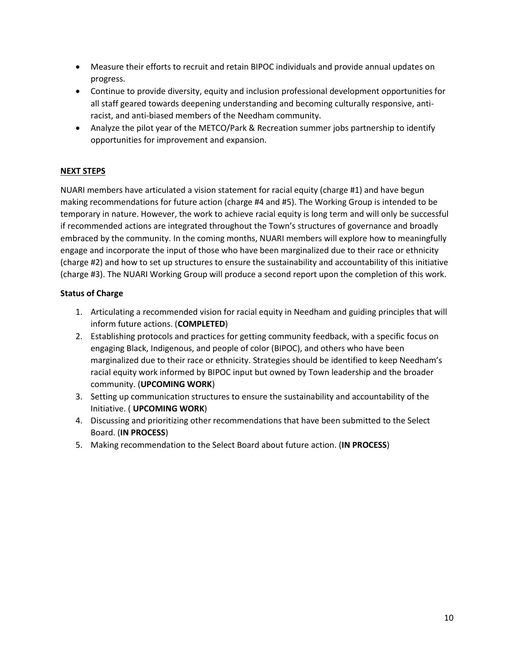- Measure their efforts to recruit and retain BIPOC individuals and provide annual updates on progress.
- Continue to provide diversity, equity and inclusion professional development opportunities for all staff geared towards deepening understanding and becoming culturally responsive, antiracist, and anti-biased members of the Needham community.
- Analyze the pilot year of the METCO/Park & Recreation summer jobs partnership to identify opportunities for improvement and expansion.

# **NEXT STEPS**

NUARI members have articulated a vision statement for racial equity (charge #1) and have begun making recommendations for future action (charge #4 and #5). The Working Group is intended to be temporary in nature. However, the work to achieve racial equity is long term and will only be successful if recommended actions are integrated throughout the Town's structures of governance and broadly embraced by the community. In the coming months, NUARI members will explore how to meaningfully engage and incorporate the input of those who have been marginalized due to their race or ethnicity (charge #2) and how to set up structures to ensure the sustainability and accountability of this initiative (charge #3). The NUARI Working Group will produce a second report upon the completion of this work.

## **Status of Charge**

- 1. Articulating a recommended vision for racial equity in Needham and guiding principles that will inform future actions. (**COMPLETED**)
- 2. Establishing protocols and practices for getting community feedback, with a specific focus on engaging Black, Indigenous, and people of color (BIPOC), and others who have been marginalized due to their race or ethnicity. Strategies should be identified to keep Needham's racial equity work informed by BIPOC input but owned by Town leadership and the broader community. (**UPCOMING WORK**)
- 3. Setting up communication structures to ensure the sustainability and accountability of the Initiative. ( **UPCOMING WORK**)
- 4. Discussing and prioritizing other recommendations that have been submitted to the Select Board. (**IN PROCESS**)
- 5. Making recommendation to the Select Board about future action. (**IN PROCESS**)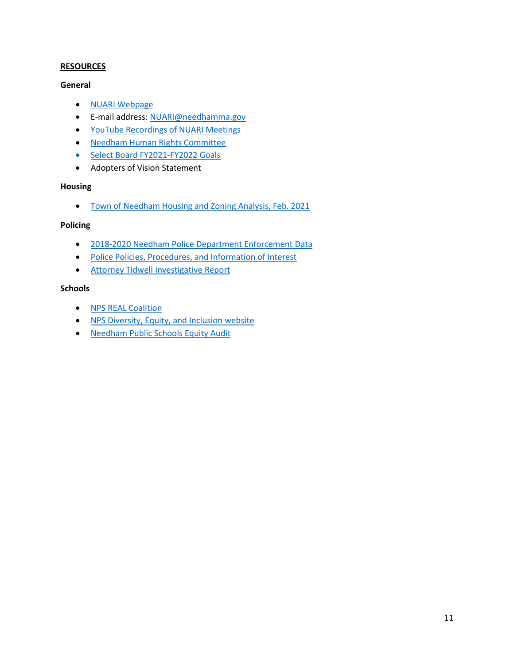#### **RESOURCES**

#### **General**

- [NUARI Webpage](https://www.needhamma.gov/4942/Needham-Unite-Against-Racism-Initiative)
- E-mail address[: NUARI@needhamma.gov](mailto:NUARI@needhamma.gov)
- [YouTube Recordings of NUARI Meetings](https://youtube.com/playlist?list=PL3PRZZjHC3yE0eZ-rrW5RDdybU0e1R91L)
- [Needham Human Rights Committee](http://www.needhamma.gov/1110/Human-Rights-Committee)
- [Select Board FY2021-FY2022 Goals](http://www.needhamma.gov/DocumentCenter/View/19955/BOS-Goals-Adopted-12222020?bidId=)
- Adopters of Vision Statement

## **Housing**

• [Town of Needham Housing and Zoning Analysis, Feb. 2021](http://needhamma.gov/DocumentCenter/View/23018/Housing-and-Zoning-Analysis-20210218-?bidId=)

## **Policing**

- [2018-2020 Needham Police Department Enforcement Data](http://www.needhamma.gov/4998/Annual-Data-Reports)
- [Police Policies, Procedures, and Information of Interest](https://www.needhamma.gov/4952/Police-Policies-Procedures-Info-of-Inter)
- [Attorney Tidwell](http://www.needhamma.gov/DocumentCenter/View/23163/Draft-Tidwell-Investigation-Report-31121) Investigative Report

#### **Schools**

- [NPS REAL Coalition](http://www.needham.k12.ma.us/equity/r_e_a_l_coalition)
- NPS Diversity, Equity, [and Inclusion website](https://sites.google.com/needham.k12.ma.us/nps-equity-website/home)
- [Needham Public Schools Equity Audit](http://www.needham.k12.ma.us/equity/equity_audit_report_-_march_2018)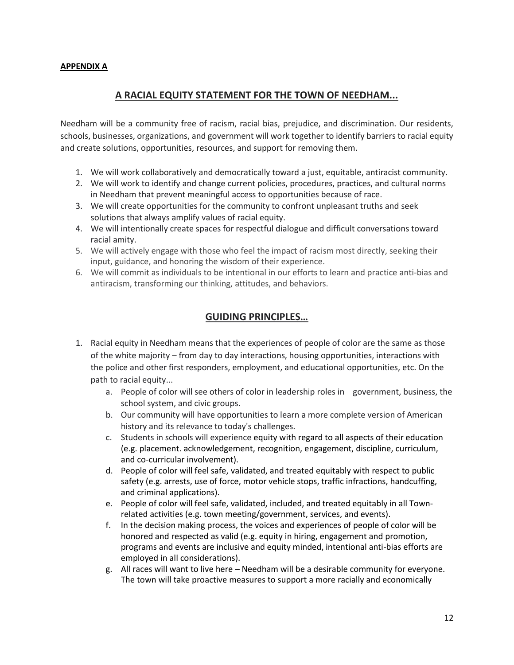## **APPENDIX A**

# **A RACIAL EQUITY STATEMENT FOR THE TOWN OF NEEDHAM...**

Needham will be a community free of racism, racial bias, prejudice, and discrimination. Our residents, schools, businesses, organizations, and government will work together to identify barriers to racial equity and create solutions, opportunities, resources, and support for removing them.

- 1. We will work collaboratively and democratically toward a just, equitable, antiracist community.
- 2. We will work to identify and change current policies, procedures, practices, and cultural norms in Needham that prevent meaningful access to opportunities because of race.
- 3. We will create opportunities for the community to confront unpleasant truths and seek solutions that always amplify values of racial equity.
- 4. We will intentionally create spaces for respectful dialogue and difficult conversations toward racial amity.
- 5. We will actively engage with those who feel the impact of racism most directly, seeking their input, guidance, and honoring the wisdom of their experience.
- 6. We will commit as individuals to be intentional in our efforts to learn and practice anti-bias and antiracism, transforming our thinking, attitudes, and behaviors.

# **GUIDING PRINCIPLES…**

- 1. Racial equity in Needham means that the experiences of people of color are the same as those of the white majority – from day to day interactions, housing opportunities, interactions with the police and other first responders, employment, and educational opportunities, etc. On the path to racial equity...
	- a. People of color will see others of color in leadership roles in government, business, the school system, and civic groups.
	- b. Our community will have opportunities to learn a more complete version of American history and its relevance to today's challenges.
	- c. Students in schools will experience equity with regard to all aspects of their education (e.g. placement. acknowledgement, recognition, engagement, discipline, curriculum, and co-curricular involvement).
	- d. People of color will feel safe, validated, and treated equitably with respect to public safety (e.g. arrests, use of force, motor vehicle stops, traffic infractions, handcuffing, and criminal applications).
	- e. People of color will feel safe, validated, included, and treated equitably in all Townrelated activities (e.g. town meeting/government, services, and events).
	- f. In the decision making process, the voices and experiences of people of color will be honored and respected as valid (e.g. equity in hiring, engagement and promotion, programs and events are inclusive and equity minded, intentional anti-bias efforts are employed in all considerations).
	- g. All races will want to live here Needham will be a desirable community for everyone. The town will take proactive measures to support a more racially and economically